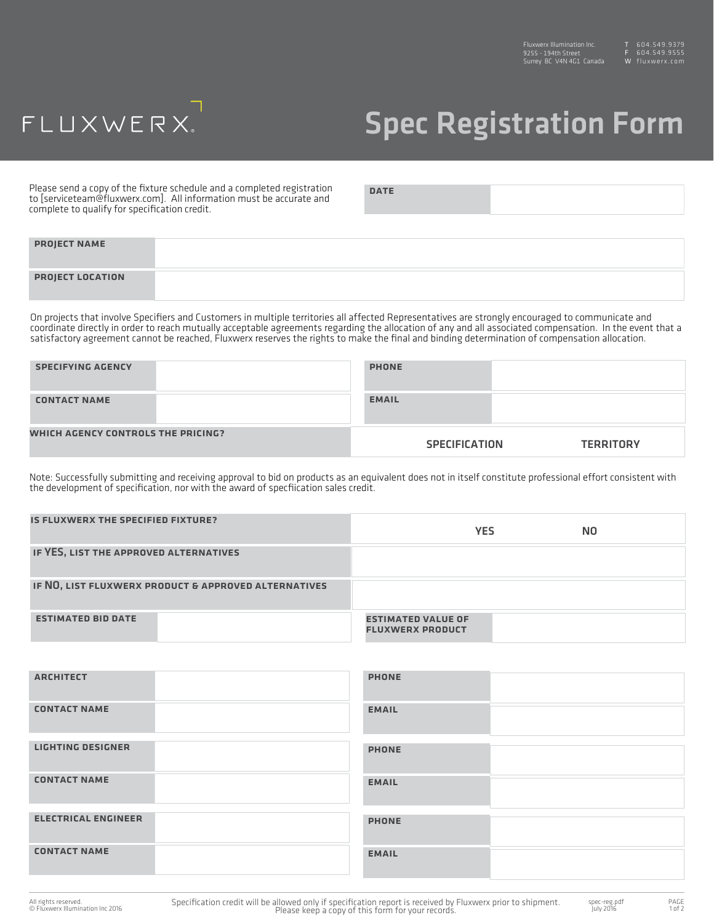## FLUXWERX.

## Spec Registration Form

Please send a copy of the fixture schedule and a completed registration to [serviceteam@fluxwerx.com]. All information must be accurate and complete to qualify for specification credit.

DATE

| <b>PROJECT NAME</b>     |  |
|-------------------------|--|
| <b>PROJECT LOCATION</b> |  |

On projects that involve Specifiers and Customers in multiple territories all affected Representatives are strongly encouraged to communicate and coordinate directly in order to reach mutually acceptable agreements regarding the allocation of any and all associated compensation. In the event that a satisfactory agreement cannot be reached, Fluxwerx reserves the rights to make the final and binding determination of compensation allocation.

| <b>SPECIFYING AGENCY</b>           | <b>PHONE</b>         |                  |
|------------------------------------|----------------------|------------------|
| <b>CONTACT NAME</b>                | <b>EMAIL</b>         |                  |
| WHICH AGENCY CONTROLS THE PRICING? | <b>SPECIFICATION</b> | <b>TERRITORY</b> |

Note: Successfully submitting and receiving approval to bid on products as an equivalent does not in itself constitute professional effort consistent with the development of specification, nor with the award of specfiication sales credit.

| IS FLUXWERX THE SPECIFIED FIXTURE?                   | <b>YES</b><br>N <sub>0</sub>                         |
|------------------------------------------------------|------------------------------------------------------|
| IF YES, LIST THE APPROVED ALTERNATIVES               |                                                      |
| IF NO, LIST FLUXWERX PRODUCT & APPROVED ALTERNATIVES |                                                      |
| <b>ESTIMATED BID DATE</b>                            | <b>ESTIMATED VALUE OF</b><br><b>FLUXWERX PRODUCT</b> |

| <b>ARCHITECT</b>           | <b>PHONE</b> |
|----------------------------|--------------|
| <b>CONTACT NAME</b>        | <b>EMAIL</b> |
| <b>LIGHTING DESIGNER</b>   | <b>PHONE</b> |
|                            |              |
| <b>CONTACT NAME</b>        | <b>EMAIL</b> |
|                            |              |
|                            |              |
| <b>ELECTRICAL ENGINEER</b> | <b>PHONE</b> |
| <b>CONTACT NAME</b>        | <b>EMAIL</b> |
|                            |              |